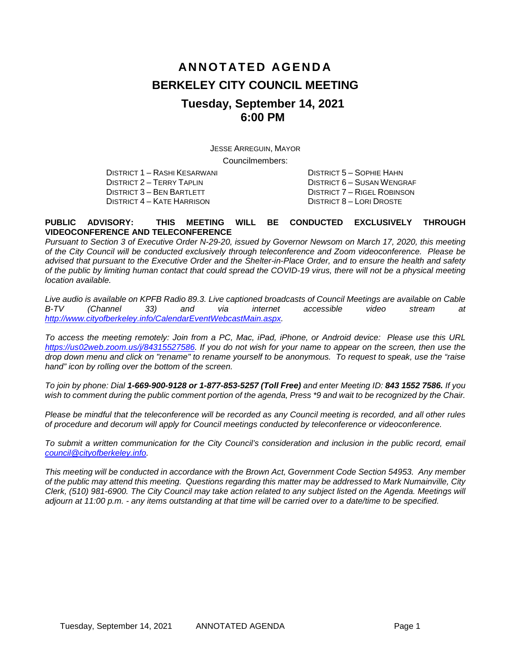# **ANNOTATED AGENDA BERKELEY CITY COUNCIL MEETING Tuesday, September 14, 2021 6:00 PM**

JESSE ARREGUIN, MAYOR Councilmembers:

DISTRICT 1 – RASHI KESARWANI DISTRICT 5 – SOPHIE HAHN

DISTRICT 4 – KATE HARRISON

DISTRICT 2 – TERRY TAPLIN DISTRICT 6 – SUSAN WENGRAF DISTRICT 7 – RIGEL ROBINSON<br>DISTRICT 8 – LORI DROSTE

#### **PUBLIC ADVISORY: THIS MEETING WILL BE CONDUCTED EXCLUSIVELY THROUGH VIDEOCONFERENCE AND TELECONFERENCE**

*Pursuant to Section 3 of Executive Order N-29-20, issued by Governor Newsom on March 17, 2020, this meeting of the City Council will be conducted exclusively through teleconference and Zoom videoconference. Please be advised that pursuant to the Executive Order and the Shelter-in-Place Order, and to ensure the health and safety of the public by limiting human contact that could spread the COVID-19 virus, there will not be a physical meeting location available.* 

*Live audio is available on KPFB Radio 89.3. Live captioned broadcasts of Council Meetings are available on Cable B-TV (Channel 33) and via internet accessible video stream at [http://www.cityofberkeley.info/CalendarEventWebcastMain.aspx.](http://www.cityofberkeley.info/CalendarEventWebcastMain.aspx)*

*To access the meeting remotely: Join from a PC, Mac, iPad, iPhone, or Android device: Please use this URL [https://us02web.zoom.us/j/84315527586.](https://us02web.zoom.us/j/84315527586) If you do not wish for your name to appear on the screen, then use the drop down menu and click on "rename" to rename yourself to be anonymous. To request to speak, use the "raise hand" icon by rolling over the bottom of the screen.* 

*To join by phone: Dial 1-669-900-9128 or 1-877-853-5257 (Toll Free) and enter Meeting ID: 843 1552 7586. If you*  wish to comment during the public comment portion of the agenda, Press \*9 and wait to be recognized by the Chair.

*Please be mindful that the teleconference will be recorded as any Council meeting is recorded, and all other rules of procedure and decorum will apply for Council meetings conducted by teleconference or videoconference.*

To submit a written communication for the City Council's consideration and inclusion in the public record, email *[council@cityofberkeley.info.](mailto:council@cityofberkeley.info)*

*This meeting will be conducted in accordance with the Brown Act, Government Code Section 54953. Any member of the public may attend this meeting. Questions regarding this matter may be addressed to Mark Numainville, City Clerk, (510) 981-6900. The City Council may take action related to any subject listed on the Agenda. Meetings will adjourn at 11:00 p.m. - any items outstanding at that time will be carried over to a date/time to be specified.*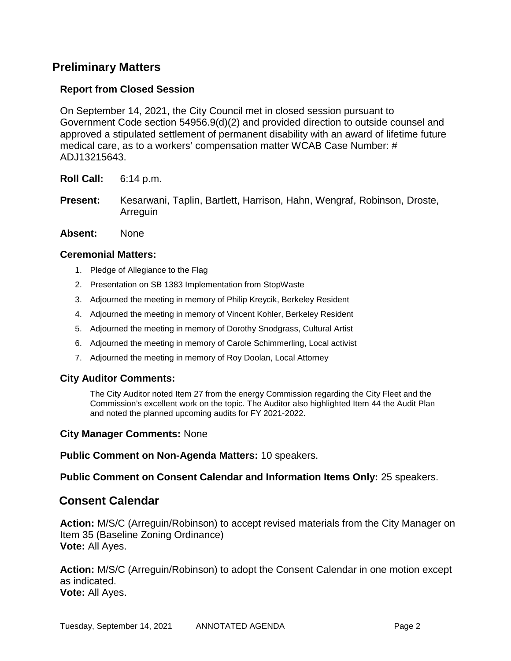# **Preliminary Matters**

# **Report from Closed Session**

On September 14, 2021, the City Council met in closed session pursuant to Government Code section 54956.9(d)(2) and provided direction to outside counsel and approved a stipulated settlement of permanent disability with an award of lifetime future medical care, as to a workers' compensation matter WCAB Case Number: # ADJ13215643.

**Roll Call:** 6:14 p.m.

**Present:** Kesarwani, Taplin, Bartlett, Harrison, Hahn, Wengraf, Robinson, Droste, Arreguin

#### **Absent:** None

#### **Ceremonial Matters:**

- 1. Pledge of Allegiance to the Flag
- 2. Presentation on SB 1383 Implementation from StopWaste
- 3. Adjourned the meeting in memory of Philip Kreycik, Berkeley Resident
- 4. Adjourned the meeting in memory of Vincent Kohler, Berkeley Resident
- 5. Adjourned the meeting in memory of Dorothy Snodgrass, Cultural Artist
- 6. Adjourned the meeting in memory of Carole Schimmerling, Local activist
- 7. Adjourned the meeting in memory of Roy Doolan, Local Attorney

## **City Auditor Comments:**

The City Auditor noted Item 27 from the energy Commission regarding the City Fleet and the Commission's excellent work on the topic. The Auditor also highlighted Item 44 the Audit Plan and noted the planned upcoming audits for FY 2021-2022.

#### **City Manager Comments:** None

**Public Comment on Non-Agenda Matters:** 10 speakers.

**Public Comment on Consent Calendar and Information Items Only:** 25 speakers.

# **Consent Calendar**

**Action:** M/S/C (Arreguin/Robinson) to accept revised materials from the City Manager on Item 35 (Baseline Zoning Ordinance) **Vote:** All Ayes.

**Action:** M/S/C (Arreguin/Robinson) to adopt the Consent Calendar in one motion except as indicated. **Vote:** All Ayes.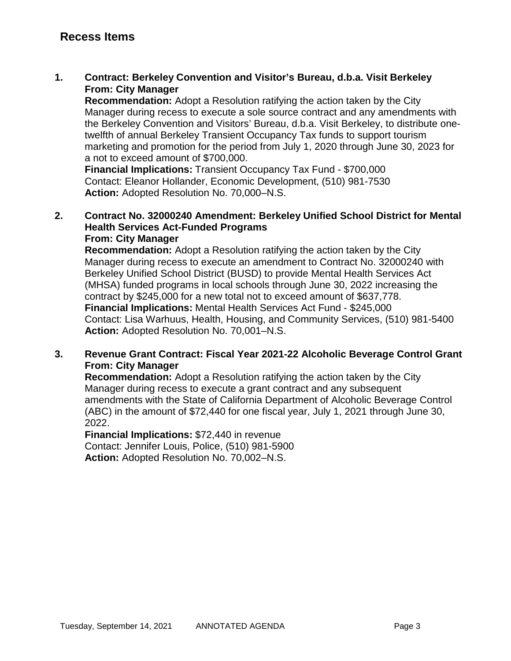**1. Contract: Berkeley Convention and Visitor's Bureau, d.b.a. Visit Berkeley From: City Manager**

**Recommendation:** Adopt a Resolution ratifying the action taken by the City Manager during recess to execute a sole source contract and any amendments with the Berkeley Convention and Visitors' Bureau, d.b.a. Visit Berkeley, to distribute onetwelfth of annual Berkeley Transient Occupancy Tax funds to support tourism marketing and promotion for the period from July 1, 2020 through June 30, 2023 for a not to exceed amount of \$700,000.

**Financial Implications:** Transient Occupancy Tax Fund - \$700,000 Contact: Eleanor Hollander, Economic Development, (510) 981-7530 **Action:** Adopted Resolution No. 70,000–N.S.

#### **2. Contract No. 32000240 Amendment: Berkeley Unified School District for Mental Health Services Act-Funded Programs From: City Manager**

**Recommendation:** Adopt a Resolution ratifying the action taken by the City Manager during recess to execute an amendment to Contract No. 32000240 with Berkeley Unified School District (BUSD) to provide Mental Health Services Act (MHSA) funded programs in local schools through June 30, 2022 increasing the contract by \$245,000 for a new total not to exceed amount of \$637,778. **Financial Implications:** Mental Health Services Act Fund - \$245,000 Contact: Lisa Warhuus, Health, Housing, and Community Services, (510) 981-5400 **Action:** Adopted Resolution No. 70,001–N.S.

# **3. Revenue Grant Contract: Fiscal Year 2021-22 Alcoholic Beverage Control Grant From: City Manager**

**Recommendation:** Adopt a Resolution ratifying the action taken by the City Manager during recess to execute a grant contract and any subsequent amendments with the State of California Department of Alcoholic Beverage Control (ABC) in the amount of \$72,440 for one fiscal year, July 1, 2021 through June 30, 2022.

**Financial Implications:** \$72,440 in revenue Contact: Jennifer Louis, Police, (510) 981-5900 **Action:** Adopted Resolution No. 70,002–N.S.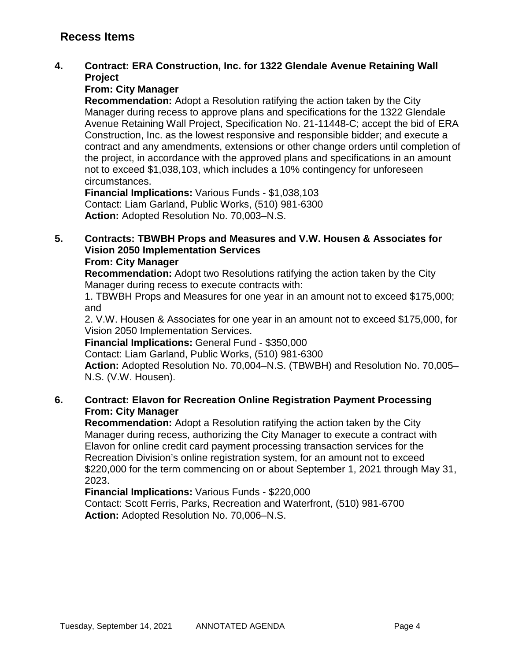# **Recess Items**

### **4. Contract: ERA Construction, Inc. for 1322 Glendale Avenue Retaining Wall Project**

## **From: City Manager**

**Recommendation:** Adopt a Resolution ratifying the action taken by the City Manager during recess to approve plans and specifications for the 1322 Glendale Avenue Retaining Wall Project, Specification No. 21-11448-C; accept the bid of ERA Construction, Inc. as the lowest responsive and responsible bidder; and execute a contract and any amendments, extensions or other change orders until completion of the project, in accordance with the approved plans and specifications in an amount not to exceed \$1,038,103, which includes a 10% contingency for unforeseen circumstances.

**Financial Implications:** Various Funds - \$1,038,103 Contact: Liam Garland, Public Works, (510) 981-6300 **Action:** Adopted Resolution No. 70,003–N.S.

#### **5. Contracts: TBWBH Props and Measures and V.W. Housen & Associates for Vision 2050 Implementation Services From: City Manager**

**Recommendation:** Adopt two Resolutions ratifying the action taken by the City Manager during recess to execute contracts with:

1. TBWBH Props and Measures for one year in an amount not to exceed \$175,000; and

2. V.W. Housen & Associates for one year in an amount not to exceed \$175,000, for Vision 2050 Implementation Services.

**Financial Implications:** General Fund - \$350,000

Contact: Liam Garland, Public Works, (510) 981-6300

**Action:** Adopted Resolution No. 70,004–N.S. (TBWBH) and Resolution No. 70,005– N.S. (V.W. Housen).

## **6. Contract: Elavon for Recreation Online Registration Payment Processing From: City Manager**

**Recommendation:** Adopt a Resolution ratifying the action taken by the City Manager during recess, authorizing the City Manager to execute a contract with Elavon for online credit card payment processing transaction services for the Recreation Division's online registration system, for an amount not to exceed \$220,000 for the term commencing on or about September 1, 2021 through May 31, 2023.

**Financial Implications:** Various Funds - \$220,000 Contact: Scott Ferris, Parks, Recreation and Waterfront, (510) 981-6700 **Action:** Adopted Resolution No. 70,006–N.S.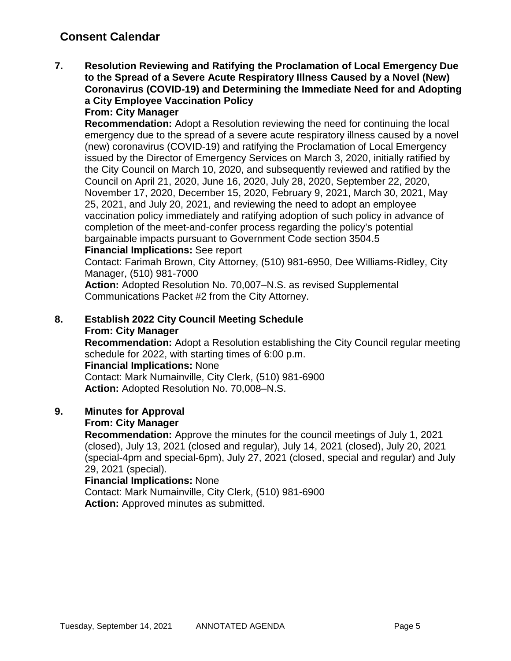# **Consent Calendar**

**7. Resolution Reviewing and Ratifying the Proclamation of Local Emergency Due to the Spread of a Severe Acute Respiratory Illness Caused by a Novel (New) Coronavirus (COVID-19) and Determining the Immediate Need for and Adopting a City Employee Vaccination Policy**

## **From: City Manager**

**Recommendation:** Adopt a Resolution reviewing the need for continuing the local emergency due to the spread of a severe acute respiratory illness caused by a novel (new) coronavirus (COVID-19) and ratifying the Proclamation of Local Emergency issued by the Director of Emergency Services on March 3, 2020, initially ratified by the City Council on March 10, 2020, and subsequently reviewed and ratified by the Council on April 21, 2020, June 16, 2020, July 28, 2020, September 22, 2020, November 17, 2020, December 15, 2020, February 9, 2021, March 30, 2021, May 25, 2021, and July 20, 2021, and reviewing the need to adopt an employee vaccination policy immediately and ratifying adoption of such policy in advance of completion of the meet-and-confer process regarding the policy's potential bargainable impacts pursuant to Government Code section 3504.5 **Financial Implications:** See report

Contact: Farimah Brown, City Attorney, (510) 981-6950, Dee Williams-Ridley, City Manager, (510) 981-7000

**Action:** Adopted Resolution No. 70,007–N.S. as revised Supplemental Communications Packet #2 from the City Attorney.

# **8. Establish 2022 City Council Meeting Schedule From: City Manager**

**Recommendation:** Adopt a Resolution establishing the City Council regular meeting schedule for 2022, with starting times of 6:00 p.m.

## **Financial Implications:** None

Contact: Mark Numainville, City Clerk, (510) 981-6900 **Action:** Adopted Resolution No. 70,008–N.S.

# **9. Minutes for Approval**

## **From: City Manager**

**Recommendation:** Approve the minutes for the council meetings of July 1, 2021 (closed), July 13, 2021 (closed and regular), July 14, 2021 (closed), July 20, 2021 (special-4pm and special-6pm), July 27, 2021 (closed, special and regular) and July 29, 2021 (special).

## **Financial Implications:** None

Contact: Mark Numainville, City Clerk, (510) 981-6900 **Action:** Approved minutes as submitted.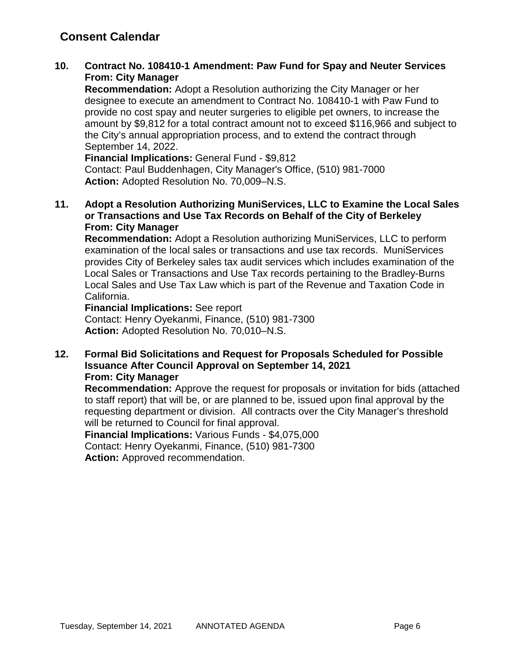# **Consent Calendar**

## **10. Contract No. 108410-1 Amendment: Paw Fund for Spay and Neuter Services From: City Manager**

**Recommendation:** Adopt a Resolution authorizing the City Manager or her designee to execute an amendment to Contract No. 108410-1 with Paw Fund to provide no cost spay and neuter surgeries to eligible pet owners, to increase the amount by \$9,812 for a total contract amount not to exceed \$116,966 and subject to the City's annual appropriation process, and to extend the contract through September 14, 2022.

**Financial Implications:** General Fund - \$9,812 Contact: Paul Buddenhagen, City Manager's Office, (510) 981-7000 **Action:** Adopted Resolution No. 70,009–N.S.

**11. Adopt a Resolution Authorizing MuniServices, LLC to Examine the Local Sales or Transactions and Use Tax Records on Behalf of the City of Berkeley From: City Manager**

**Recommendation:** Adopt a Resolution authorizing MuniServices, LLC to perform examination of the local sales or transactions and use tax records. MuniServices provides City of Berkeley sales tax audit services which includes examination of the Local Sales or Transactions and Use Tax records pertaining to the Bradley-Burns Local Sales and Use Tax Law which is part of the Revenue and Taxation Code in California.

**Financial Implications:** See report Contact: Henry Oyekanmi, Finance, (510) 981-7300 **Action:** Adopted Resolution No. 70,010–N.S.

**12. Formal Bid Solicitations and Request for Proposals Scheduled for Possible Issuance After Council Approval on September 14, 2021 From: City Manager**

**Recommendation:** Approve the request for proposals or invitation for bids (attached to staff report) that will be, or are planned to be, issued upon final approval by the requesting department or division. All contracts over the City Manager's threshold will be returned to Council for final approval.

**Financial Implications:** Various Funds - \$4,075,000 Contact: Henry Oyekanmi, Finance, (510) 981-7300 **Action:** Approved recommendation.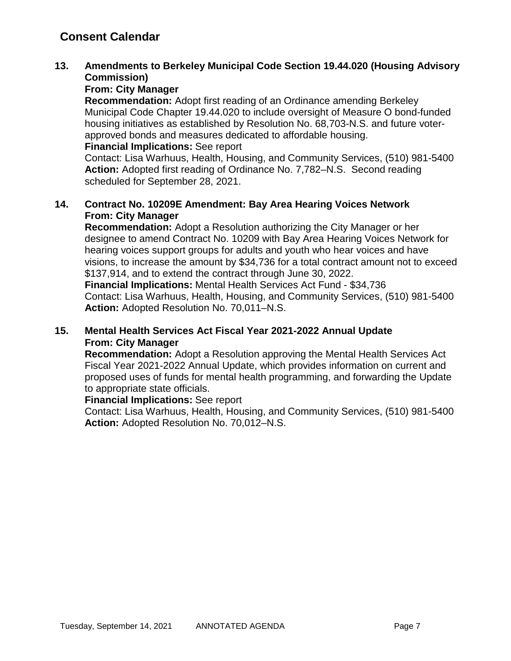# **13. Amendments to Berkeley Municipal Code Section 19.44.020 (Housing Advisory Commission)**

# **From: City Manager**

**Recommendation:** Adopt first reading of an Ordinance amending Berkeley Municipal Code Chapter 19.44.020 to include oversight of Measure O bond-funded housing initiatives as established by Resolution No. 68,703-N.S. and future voterapproved bonds and measures dedicated to affordable housing.

#### **Financial Implications:** See report

Contact: Lisa Warhuus, Health, Housing, and Community Services, (510) 981-5400 **Action:** Adopted first reading of Ordinance No. 7,782–N.S. Second reading scheduled for September 28, 2021.

# **14. Contract No. 10209E Amendment: Bay Area Hearing Voices Network From: City Manager**

**Recommendation:** Adopt a Resolution authorizing the City Manager or her designee to amend Contract No. 10209 with Bay Area Hearing Voices Network for hearing voices support groups for adults and youth who hear voices and have visions, to increase the amount by \$34,736 for a total contract amount not to exceed \$137,914, and to extend the contract through June 30, 2022.

**Financial Implications:** Mental Health Services Act Fund - \$34,736 Contact: Lisa Warhuus, Health, Housing, and Community Services, (510) 981-5400 **Action:** Adopted Resolution No. 70,011–N.S.

# **15. Mental Health Services Act Fiscal Year 2021-2022 Annual Update From: City Manager**

**Recommendation:** Adopt a Resolution approving the Mental Health Services Act Fiscal Year 2021-2022 Annual Update, which provides information on current and proposed uses of funds for mental health programming, and forwarding the Update to appropriate state officials.

## **Financial Implications:** See report

Contact: Lisa Warhuus, Health, Housing, and Community Services, (510) 981-5400 **Action:** Adopted Resolution No. 70,012–N.S.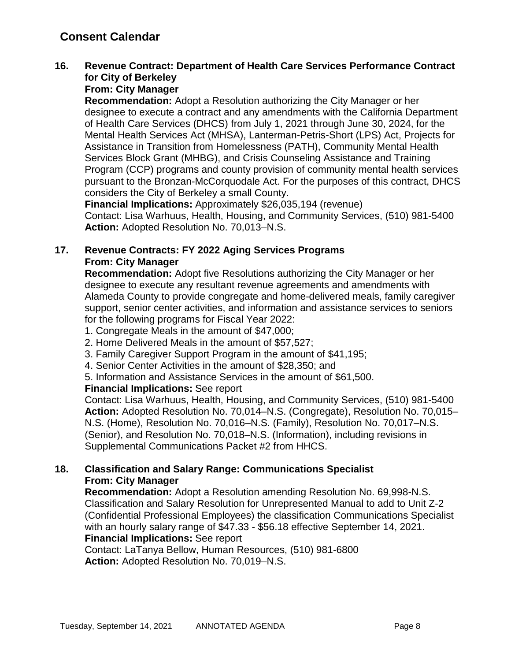# **16. Revenue Contract: Department of Health Care Services Performance Contract for City of Berkeley**

# **From: City Manager**

**Recommendation:** Adopt a Resolution authorizing the City Manager or her designee to execute a contract and any amendments with the California Department of Health Care Services (DHCS) from July 1, 2021 through June 30, 2024, for the Mental Health Services Act (MHSA), Lanterman-Petris-Short (LPS) Act, Projects for Assistance in Transition from Homelessness (PATH), Community Mental Health Services Block Grant (MHBG), and Crisis Counseling Assistance and Training Program (CCP) programs and county provision of community mental health services pursuant to the Bronzan-McCorquodale Act. For the purposes of this contract, DHCS considers the City of Berkeley a small County.

**Financial Implications:** Approximately \$26,035,194 (revenue) Contact: Lisa Warhuus, Health, Housing, and Community Services, (510) 981-5400 **Action:** Adopted Resolution No. 70,013–N.S.

# **17. Revenue Contracts: FY 2022 Aging Services Programs From: City Manager**

**Recommendation:** Adopt five Resolutions authorizing the City Manager or her designee to execute any resultant revenue agreements and amendments with Alameda County to provide congregate and home-delivered meals, family caregiver support, senior center activities, and information and assistance services to seniors for the following programs for Fiscal Year 2022:

- 1. Congregate Meals in the amount of \$47,000;
- 2. Home Delivered Meals in the amount of \$57,527;
- 3. Family Caregiver Support Program in the amount of \$41,195;
- 4. Senior Center Activities in the amount of \$28,350; and
- 5. Information and Assistance Services in the amount of \$61,500.

## **Financial Implications:** See report

Contact: Lisa Warhuus, Health, Housing, and Community Services, (510) 981-5400 **Action:** Adopted Resolution No. 70,014–N.S. (Congregate), Resolution No. 70,015– N.S. (Home), Resolution No. 70,016–N.S. (Family), Resolution No. 70,017–N.S. (Senior), and Resolution No. 70,018–N.S. (Information), including revisions in Supplemental Communications Packet #2 from HHCS.

## **18. Classification and Salary Range: Communications Specialist From: City Manager**

**Recommendation:** Adopt a Resolution amending Resolution No. 69,998-N.S. Classification and Salary Resolution for Unrepresented Manual to add to Unit Z-2 (Confidential Professional Employees) the classification Communications Specialist with an hourly salary range of \$47.33 - \$56.18 effective September 14, 2021. **Financial Implications:** See report

Contact: LaTanya Bellow, Human Resources, (510) 981-6800 **Action:** Adopted Resolution No. 70,019–N.S.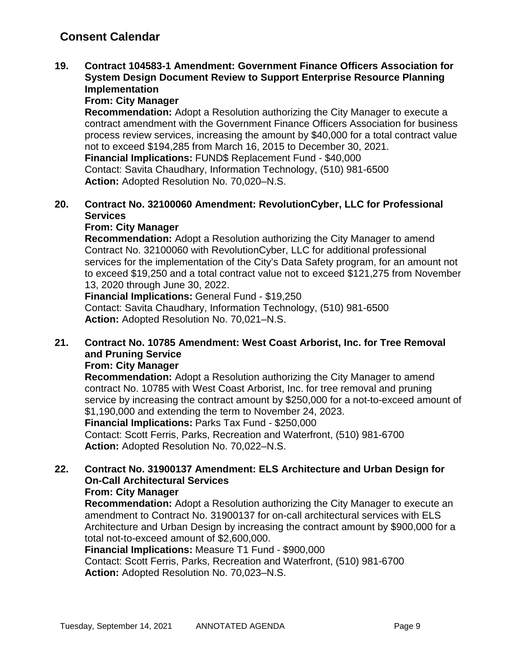**19. Contract 104583-1 Amendment: Government Finance Officers Association for System Design Document Review to Support Enterprise Resource Planning Implementation**

# **From: City Manager**

**Recommendation:** Adopt a Resolution authorizing the City Manager to execute a contract amendment with the Government Finance Officers Association for business process review services, increasing the amount by \$40,000 for a total contract value not to exceed \$194,285 from March 16, 2015 to December 30, 2021. **Financial Implications:** FUND\$ Replacement Fund - \$40,000 Contact: Savita Chaudhary, Information Technology, (510) 981-6500 **Action:** Adopted Resolution No. 70,020–N.S.

# **20. Contract No. 32100060 Amendment: RevolutionCyber, LLC for Professional Services**

## **From: City Manager**

**Recommendation:** Adopt a Resolution authorizing the City Manager to amend Contract No. 32100060 with RevolutionCyber, LLC for additional professional services for the implementation of the City's Data Safety program, for an amount not to exceed \$19,250 and a total contract value not to exceed \$121,275 from November 13, 2020 through June 30, 2022.

**Financial Implications:** General Fund - \$19,250 Contact: Savita Chaudhary, Information Technology, (510) 981-6500 **Action:** Adopted Resolution No. 70,021–N.S.

# **21. Contract No. 10785 Amendment: West Coast Arborist, Inc. for Tree Removal and Pruning Service**

## **From: City Manager**

**Recommendation:** Adopt a Resolution authorizing the City Manager to amend contract No. 10785 with West Coast Arborist, Inc. for tree removal and pruning service by increasing the contract amount by \$250,000 for a not-to-exceed amount of \$1,190,000 and extending the term to November 24, 2023. **Financial Implications:** Parks Tax Fund - \$250,000 Contact: Scott Ferris, Parks, Recreation and Waterfront, (510) 981-6700 **Action:** Adopted Resolution No. 70,022–N.S.

# **22. Contract No. 31900137 Amendment: ELS Architecture and Urban Design for On-Call Architectural Services**

# **From: City Manager**

**Recommendation:** Adopt a Resolution authorizing the City Manager to execute an amendment to Contract No. 31900137 for on-call architectural services with ELS Architecture and Urban Design by increasing the contract amount by \$900,000 for a total not-to-exceed amount of \$2,600,000.

## **Financial Implications:** Measure T1 Fund - \$900,000

Contact: Scott Ferris, Parks, Recreation and Waterfront, (510) 981-6700 **Action:** Adopted Resolution No. 70,023–N.S.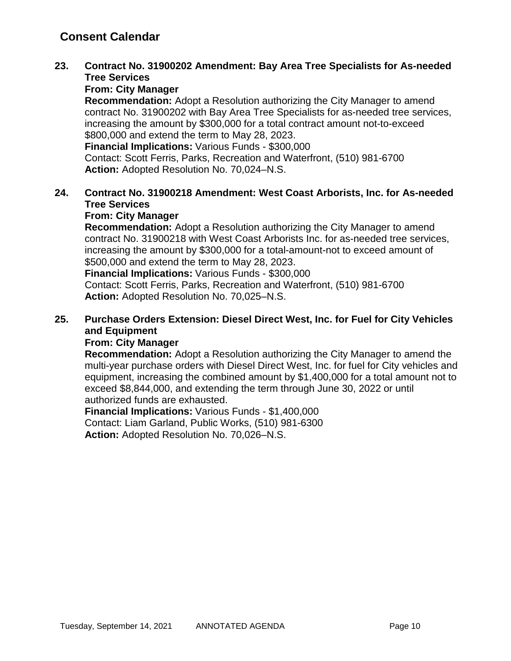# **23. Contract No. 31900202 Amendment: Bay Area Tree Specialists for As-needed Tree Services**

# **From: City Manager**

**Recommendation:** Adopt a Resolution authorizing the City Manager to amend contract No. 31900202 with Bay Area Tree Specialists for as-needed tree services, increasing the amount by \$300,000 for a total contract amount not-to-exceed \$800,000 and extend the term to May 28, 2023. **Financial Implications:** Various Funds - \$300,000

Contact: Scott Ferris, Parks, Recreation and Waterfront, (510) 981-6700 **Action:** Adopted Resolution No. 70,024–N.S.

# **24. Contract No. 31900218 Amendment: West Coast Arborists, Inc. for As-needed Tree Services**

# **From: City Manager**

**Recommendation:** Adopt a Resolution authorizing the City Manager to amend contract No. 31900218 with West Coast Arborists Inc. for as-needed tree services, increasing the amount by \$300,000 for a total-amount-not to exceed amount of \$500,000 and extend the term to May 28, 2023.

**Financial Implications:** Various Funds - \$300,000

Contact: Scott Ferris, Parks, Recreation and Waterfront, (510) 981-6700 **Action:** Adopted Resolution No. 70,025–N.S.

# **25. Purchase Orders Extension: Diesel Direct West, Inc. for Fuel for City Vehicles and Equipment**

## **From: City Manager**

**Recommendation:** Adopt a Resolution authorizing the City Manager to amend the multi-year purchase orders with Diesel Direct West, Inc. for fuel for City vehicles and equipment, increasing the combined amount by \$1,400,000 for a total amount not to exceed \$8,844,000, and extending the term through June 30, 2022 or until authorized funds are exhausted.

**Financial Implications:** Various Funds - \$1,400,000 Contact: Liam Garland, Public Works, (510) 981-6300 **Action:** Adopted Resolution No. 70,026–N.S.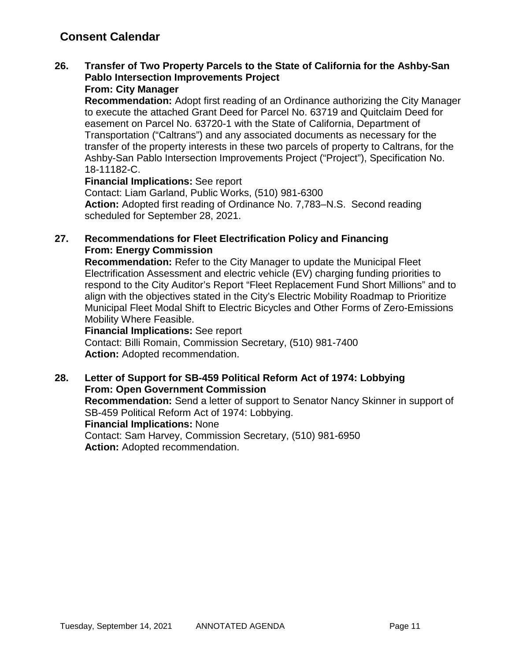# **Consent Calendar**

# **26. Transfer of Two Property Parcels to the State of California for the Ashby-San Pablo Intersection Improvements Project**

### **From: City Manager**

**Recommendation:** Adopt first reading of an Ordinance authorizing the City Manager to execute the attached Grant Deed for Parcel No. 63719 and Quitclaim Deed for easement on Parcel No. 63720-1 with the State of California, Department of Transportation ("Caltrans") and any associated documents as necessary for the transfer of the property interests in these two parcels of property to Caltrans, for the Ashby-San Pablo Intersection Improvements Project ("Project"), Specification No. 18-11182-C.

**Financial Implications:** See report

Contact: Liam Garland, Public Works, (510) 981-6300 **Action:** Adopted first reading of Ordinance No. 7,783–N.S. Second reading scheduled for September 28, 2021.

# **27. Recommendations for Fleet Electrification Policy and Financing From: Energy Commission**

**Recommendation:** Refer to the City Manager to update the Municipal Fleet Electrification Assessment and electric vehicle (EV) charging funding priorities to respond to the City Auditor's Report "Fleet Replacement Fund Short Millions" and to align with the objectives stated in the City's Electric Mobility Roadmap to Prioritize Municipal Fleet Modal Shift to Electric Bicycles and Other Forms of Zero-Emissions Mobility Where Feasible.

#### **Financial Implications:** See report

Contact: Billi Romain, Commission Secretary, (510) 981-7400 **Action:** Adopted recommendation.

## **28. Letter of Support for SB-459 Political Reform Act of 1974: Lobbying From: Open Government Commission**

**Recommendation:** Send a letter of support to Senator Nancy Skinner in support of SB-459 Political Reform Act of 1974: Lobbying. **Financial Implications:** None

Contact: Sam Harvey, Commission Secretary, (510) 981-6950 **Action:** Adopted recommendation.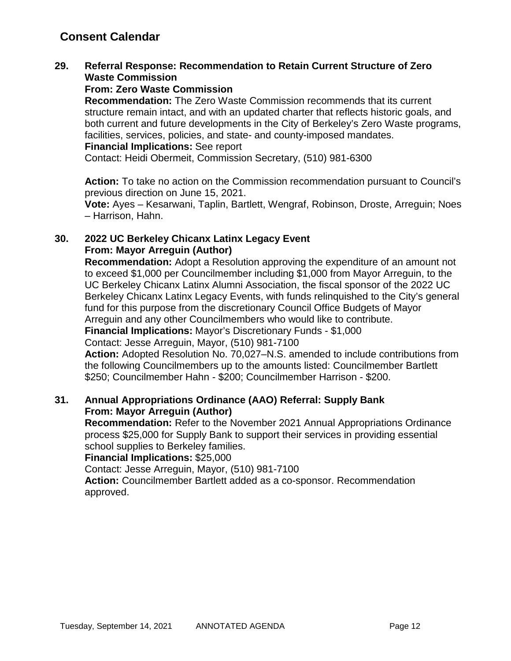# **Consent Calendar**

# **29. Referral Response: Recommendation to Retain Current Structure of Zero Waste Commission**

## **From: Zero Waste Commission**

**Recommendation:** The Zero Waste Commission recommends that its current structure remain intact, and with an updated charter that reflects historic goals, and both current and future developments in the City of Berkeley's Zero Waste programs, facilities, services, policies, and state- and county-imposed mandates.

#### **Financial Implications:** See report

Contact: Heidi Obermeit, Commission Secretary, (510) 981-6300

**Action:** To take no action on the Commission recommendation pursuant to Council's previous direction on June 15, 2021.

**Vote:** Ayes – Kesarwani, Taplin, Bartlett, Wengraf, Robinson, Droste, Arreguin; Noes – Harrison, Hahn.

# **30. 2022 UC Berkeley Chicanx Latinx Legacy Event From: Mayor Arreguin (Author)**

**Recommendation:** Adopt a Resolution approving the expenditure of an amount not to exceed \$1,000 per Councilmember including \$1,000 from Mayor Arreguin, to the UC Berkeley Chicanx Latinx Alumni Association, the fiscal sponsor of the 2022 UC Berkeley Chicanx Latinx Legacy Events, with funds relinquished to the City's general fund for this purpose from the discretionary Council Office Budgets of Mayor Arreguin and any other Councilmembers who would like to contribute.

**Financial Implications:** Mayor's Discretionary Funds - \$1,000

Contact: Jesse Arreguin, Mayor, (510) 981-7100

**Action:** Adopted Resolution No. 70,027–N.S. amended to include contributions from the following Councilmembers up to the amounts listed: Councilmember Bartlett \$250; Councilmember Hahn - \$200; Councilmember Harrison - \$200.

# **31. Annual Appropriations Ordinance (AAO) Referral: Supply Bank From: Mayor Arreguin (Author)**

**Recommendation:** Refer to the November 2021 Annual Appropriations Ordinance process \$25,000 for Supply Bank to support their services in providing essential school supplies to Berkeley families.

**Financial Implications:** \$25,000

Contact: Jesse Arreguin, Mayor, (510) 981-7100

**Action:** Councilmember Bartlett added as a co-sponsor. Recommendation approved.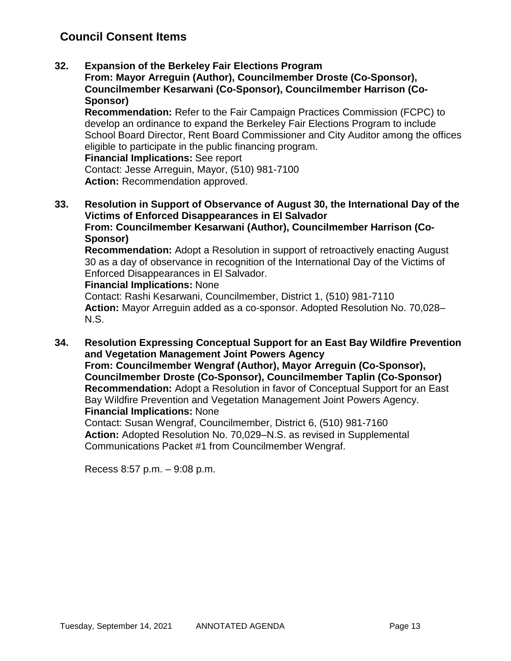# **Council Consent Items**

**32. Expansion of the Berkeley Fair Elections Program**

**From: Mayor Arreguin (Author), Councilmember Droste (Co-Sponsor), Councilmember Kesarwani (Co-Sponsor), Councilmember Harrison (Co-Sponsor)**

**Recommendation:** Refer to the Fair Campaign Practices Commission (FCPC) to develop an ordinance to expand the Berkeley Fair Elections Program to include School Board Director, Rent Board Commissioner and City Auditor among the offices eligible to participate in the public financing program.

**Financial Implications:** See report

Contact: Jesse Arreguin, Mayor, (510) 981-7100 **Action:** Recommendation approved.

**33. Resolution in Support of Observance of August 30, the International Day of the Victims of Enforced Disappearances in El Salvador From: Councilmember Kesarwani (Author), Councilmember Harrison (Co-**

**Sponsor)**

**Recommendation:** Adopt a Resolution in support of retroactively enacting August 30 as a day of observance in recognition of the International Day of the Victims of Enforced Disappearances in El Salvador.

#### **Financial Implications:** None

Contact: Rashi Kesarwani, Councilmember, District 1, (510) 981-7110 **Action:** Mayor Arreguin added as a co-sponsor. Adopted Resolution No. 70,028– N.S.

**34. Resolution Expressing Conceptual Support for an East Bay Wildfire Prevention and Vegetation Management Joint Powers Agency From: Councilmember Wengraf (Author), Mayor Arreguin (Co-Sponsor),** 

**Councilmember Droste (Co-Sponsor), Councilmember Taplin (Co-Sponsor) Recommendation:** Adopt a Resolution in favor of Conceptual Support for an East Bay Wildfire Prevention and Vegetation Management Joint Powers Agency. **Financial Implications:** None

Contact: Susan Wengraf, Councilmember, District 6, (510) 981-7160 **Action:** Adopted Resolution No. 70,029–N.S. as revised in Supplemental Communications Packet #1 from Councilmember Wengraf.

Recess 8:57 p.m. – 9:08 p.m.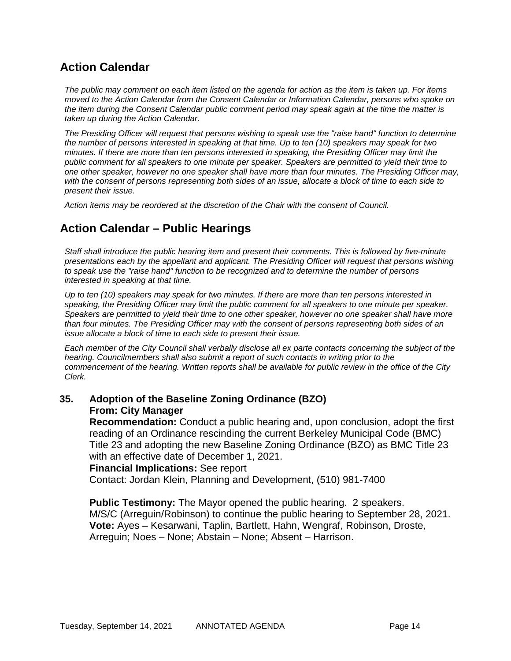# **Action Calendar**

*The public may comment on each item listed on the agenda for action as the item is taken up. For items moved to the Action Calendar from the Consent Calendar or Information Calendar, persons who spoke on the item during the Consent Calendar public comment period may speak again at the time the matter is taken up during the Action Calendar.*

*The Presiding Officer will request that persons wishing to speak use the "raise hand" function to determine the number of persons interested in speaking at that time. Up to ten (10) speakers may speak for two minutes. If there are more than ten persons interested in speaking, the Presiding Officer may limit the public comment for all speakers to one minute per speaker. Speakers are permitted to yield their time to one other speaker, however no one speaker shall have more than four minutes. The Presiding Officer may, with the consent of persons representing both sides of an issue, allocate a block of time to each side to present their issue.*

*Action items may be reordered at the discretion of the Chair with the consent of Council.*

# **Action Calendar – Public Hearings**

*Staff shall introduce the public hearing item and present their comments. This is followed by five-minute presentations each by the appellant and applicant. The Presiding Officer will request that persons wishing to speak use the "raise hand" function to be recognized and to determine the number of persons interested in speaking at that time.*

*Up to ten (10) speakers may speak for two minutes. If there are more than ten persons interested in speaking, the Presiding Officer may limit the public comment for all speakers to one minute per speaker. Speakers are permitted to yield their time to one other speaker, however no one speaker shall have more than four minutes. The Presiding Officer may with the consent of persons representing both sides of an issue allocate a block of time to each side to present their issue.*

*Each member of the City Council shall verbally disclose all ex parte contacts concerning the subject of the hearing. Councilmembers shall also submit a report of such contacts in writing prior to the commencement of the hearing. Written reports shall be available for public review in the office of the City Clerk.*

## **35. Adoption of the Baseline Zoning Ordinance (BZO) From: City Manager**

**Recommendation:** Conduct a public hearing and, upon conclusion, adopt the first reading of an Ordinance rescinding the current Berkeley Municipal Code (BMC) Title 23 and adopting the new Baseline Zoning Ordinance (BZO) as BMC Title 23 with an effective date of December 1, 2021.

#### **Financial Implications:** See report

Contact: Jordan Klein, Planning and Development, (510) 981-7400

**Public Testimony:** The Mayor opened the public hearing. 2 speakers. M/S/C (Arreguin/Robinson) to continue the public hearing to September 28, 2021. **Vote:** Ayes – Kesarwani, Taplin, Bartlett, Hahn, Wengraf, Robinson, Droste, Arreguin; Noes – None; Abstain – None; Absent – Harrison.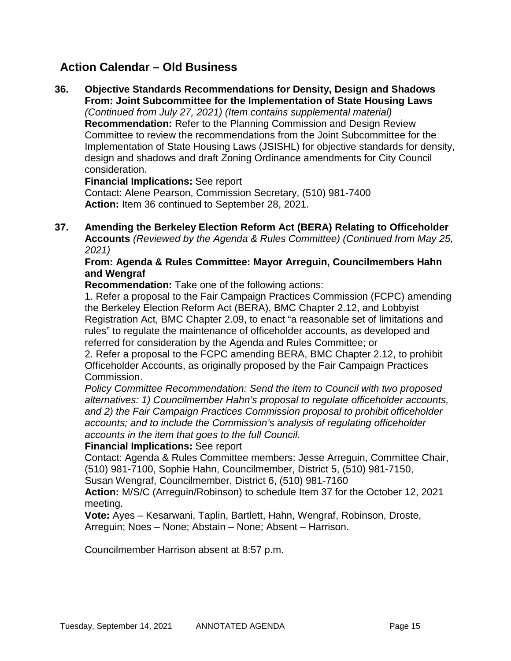# **Action Calendar – Old Business**

**36. Objective Standards Recommendations for Density, Design and Shadows From: Joint Subcommittee for the Implementation of State Housing Laws** *(Continued from July 27, 2021) (Item contains supplemental material)* **Recommendation:** Refer to the Planning Commission and Design Review Committee to review the recommendations from the Joint Subcommittee for the Implementation of State Housing Laws (JSISHL) for objective standards for density, design and shadows and draft Zoning Ordinance amendments for City Council consideration.

**Financial Implications:** See report Contact: Alene Pearson, Commission Secretary, (510) 981-7400 **Action:** Item 36 continued to September 28, 2021.

**37. Amending the Berkeley Election Reform Act (BERA) Relating to Officeholder Accounts** *(Reviewed by the Agenda & Rules Committee) (Continued from May 25, 2021)*

## **From: Agenda & Rules Committee: Mayor Arreguin, Councilmembers Hahn and Wengraf**

**Recommendation:** Take one of the following actions:

1. Refer a proposal to the Fair Campaign Practices Commission (FCPC) amending the Berkeley Election Reform Act (BERA), BMC Chapter 2.12, and Lobbyist Registration Act, BMC Chapter 2.09, to enact "a reasonable set of limitations and rules" to regulate the maintenance of officeholder accounts, as developed and referred for consideration by the Agenda and Rules Committee; or

2. Refer a proposal to the FCPC amending BERA, BMC Chapter 2.12, to prohibit Officeholder Accounts, as originally proposed by the Fair Campaign Practices Commission.

*Policy Committee Recommendation: Send the item to Council with two proposed alternatives: 1) Councilmember Hahn's proposal to regulate officeholder accounts, and 2) the Fair Campaign Practices Commission proposal to prohibit officeholder accounts; and to include the Commission's analysis of regulating officeholder accounts in the item that goes to the full Council.* 

## **Financial Implications:** See report

Contact: Agenda & Rules Committee members: Jesse Arreguin, Committee Chair, (510) 981-7100, Sophie Hahn, Councilmember, District 5, (510) 981-7150,

Susan Wengraf, Councilmember, District 6, (510) 981-7160

**Action:** M/S/C (Arreguin/Robinson) to schedule Item 37 for the October 12, 2021 meeting.

**Vote:** Ayes – Kesarwani, Taplin, Bartlett, Hahn, Wengraf, Robinson, Droste, Arreguin; Noes – None; Abstain – None; Absent – Harrison.

Councilmember Harrison absent at 8:57 p.m.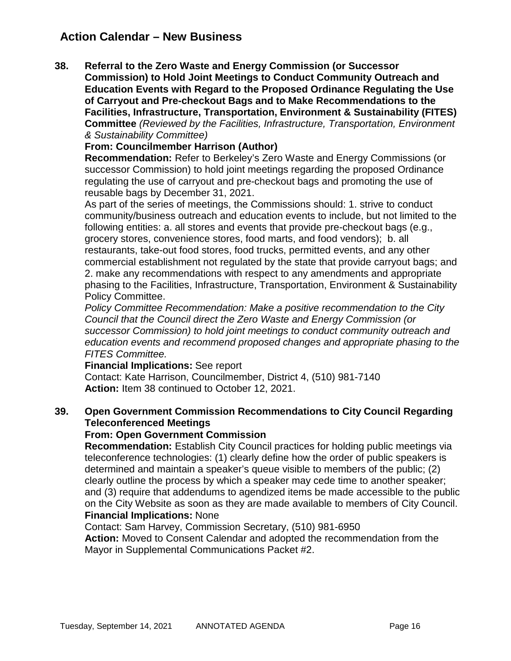# **Action Calendar – New Business**

**38. Referral to the Zero Waste and Energy Commission (or Successor Commission) to Hold Joint Meetings to Conduct Community Outreach and Education Events with Regard to the Proposed Ordinance Regulating the Use of Carryout and Pre-checkout Bags and to Make Recommendations to the Facilities, Infrastructure, Transportation, Environment & Sustainability (FITES) Committee** *(Reviewed by the Facilities, Infrastructure, Transportation, Environment & Sustainability Committee)*

### **From: Councilmember Harrison (Author)**

**Recommendation:** Refer to Berkeley's Zero Waste and Energy Commissions (or successor Commission) to hold joint meetings regarding the proposed Ordinance regulating the use of carryout and pre-checkout bags and promoting the use of reusable bags by December 31, 2021.

As part of the series of meetings, the Commissions should: 1. strive to conduct community/business outreach and education events to include, but not limited to the following entities: a. all stores and events that provide pre-checkout bags (e.g., grocery stores, convenience stores, food marts, and food vendors); b. all restaurants, take-out food stores, food trucks, permitted events, and any other commercial establishment not regulated by the state that provide carryout bags; and 2. make any recommendations with respect to any amendments and appropriate phasing to the Facilities, Infrastructure, Transportation, Environment & Sustainability Policy Committee.

*Policy Committee Recommendation: Make a positive recommendation to the City Council that the Council direct the Zero Waste and Energy Commission (or successor Commission) to hold joint meetings to conduct community outreach and education events and recommend proposed changes and appropriate phasing to the FITES Committee.*

#### **Financial Implications:** See report

Contact: Kate Harrison, Councilmember, District 4, (510) 981-7140 **Action:** Item 38 continued to October 12, 2021.

# **39. Open Government Commission Recommendations to City Council Regarding Teleconferenced Meetings**

#### **From: Open Government Commission**

**Recommendation:** Establish City Council practices for holding public meetings via teleconference technologies: (1) clearly define how the order of public speakers is determined and maintain a speaker's queue visible to members of the public; (2) clearly outline the process by which a speaker may cede time to another speaker; and (3) require that addendums to agendized items be made accessible to the public on the City Website as soon as they are made available to members of City Council. **Financial Implications:** None

Contact: Sam Harvey, Commission Secretary, (510) 981-6950 **Action:** Moved to Consent Calendar and adopted the recommendation from the Mayor in Supplemental Communications Packet #2.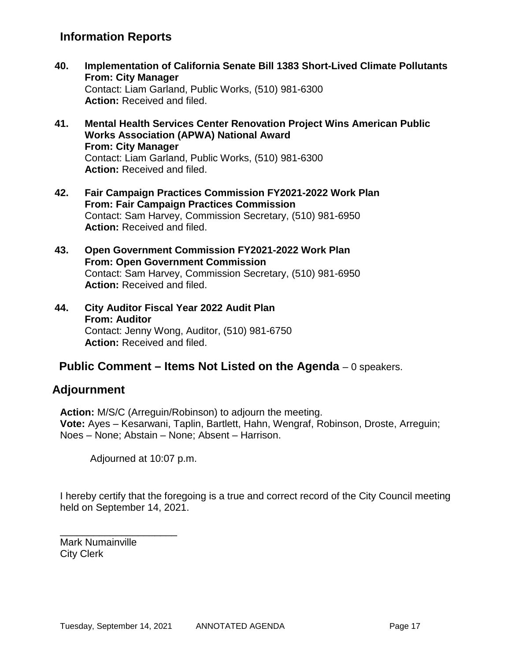# **Information Reports**

- **40. Implementation of California Senate Bill 1383 Short-Lived Climate Pollutants From: City Manager** Contact: Liam Garland, Public Works, (510) 981-6300 **Action:** Received and filed.
- **41. Mental Health Services Center Renovation Project Wins American Public Works Association (APWA) National Award From: City Manager** Contact: Liam Garland, Public Works, (510) 981-6300 **Action:** Received and filed.
- **42. Fair Campaign Practices Commission FY2021-2022 Work Plan From: Fair Campaign Practices Commission** Contact: Sam Harvey, Commission Secretary, (510) 981-6950 **Action:** Received and filed.
- **43. Open Government Commission FY2021-2022 Work Plan From: Open Government Commission** Contact: Sam Harvey, Commission Secretary, (510) 981-6950 **Action:** Received and filed.
- **44. City Auditor Fiscal Year 2022 Audit Plan From: Auditor** Contact: Jenny Wong, Auditor, (510) 981-6750 **Action:** Received and filed.

# **Public Comment – Items Not Listed on the Agenda** – 0 speakers.

# **Adjournment**

**Action:** M/S/C (Arreguin/Robinson) to adjourn the meeting. **Vote:** Ayes – Kesarwani, Taplin, Bartlett, Hahn, Wengraf, Robinson, Droste, Arreguin; Noes – None; Abstain – None; Absent – Harrison.

Adjourned at 10:07 p.m.

I hereby certify that the foregoing is a true and correct record of the City Council meeting held on September 14, 2021.

Mark Numainville City Clerk

\_\_\_\_\_\_\_\_\_\_\_\_\_\_\_\_\_\_\_\_\_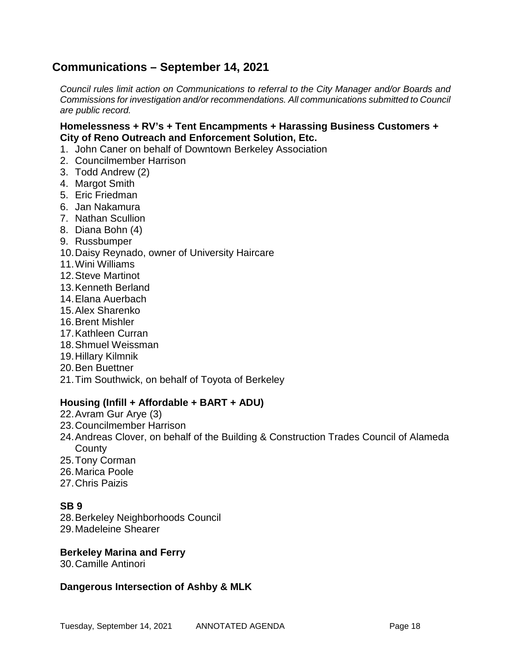# **Communications – September 14, 2021**

*Council rules limit action on Communications to referral to the City Manager and/or Boards and Commissions for investigation and/or recommendations. All communications submitted to Council are public record.*

### **Homelessness + RV's + Tent Encampments + Harassing Business Customers + City of Reno Outreach and Enforcement Solution, Etc.**

- 1. John Caner on behalf of Downtown Berkeley Association
- 2. Councilmember Harrison
- 3. Todd Andrew (2)
- 4. Margot Smith
- 5. Eric Friedman
- 6. Jan Nakamura
- 7. Nathan Scullion
- 8. Diana Bohn (4)
- 9. Russbumper
- 10.Daisy Reynado, owner of University Haircare
- 11.Wini Williams
- 12.Steve Martinot
- 13.Kenneth Berland
- 14.Elana Auerbach
- 15.Alex Sharenko
- 16.Brent Mishler
- 17.Kathleen Curran
- 18.Shmuel Weissman
- 19.Hillary Kilmnik
- 20.Ben Buettner
- 21.Tim Southwick, on behalf of Toyota of Berkeley

## **Housing (Infill + Affordable + BART + ADU)**

- 22.Avram Gur Arye (3)
- 23.Councilmember Harrison
- 24.Andreas Clover, on behalf of the Building & Construction Trades Council of Alameda **County**
- 25.Tony Corman
- 26.Marica Poole
- 27.Chris Paizis

# **SB 9**

- 28.Berkeley Neighborhoods Council
- 29.Madeleine Shearer

#### **Berkeley Marina and Ferry**

30.Camille Antinori

#### **Dangerous Intersection of Ashby & MLK**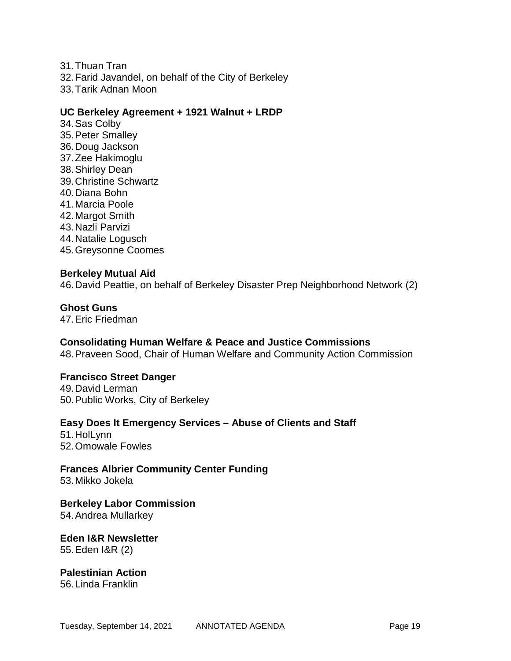31.Thuan Tran 32.Farid Javandel, on behalf of the City of Berkeley 33.Tarik Adnan Moon

### **UC Berkeley Agreement + 1921 Walnut + LRDP**

34.Sas Colby 35.Peter Smalley 36.Doug Jackson 37.Zee Hakimoglu 38.Shirley Dean 39.Christine Schwartz 40.Diana Bohn 41.Marcia Poole 42.Margot Smith 43.Nazli Parvizi 44.Natalie Logusch 45.Greysonne Coomes

#### **Berkeley Mutual Aid**

46.David Peattie, on behalf of Berkeley Disaster Prep Neighborhood Network (2)

#### **Ghost Guns**

47.Eric Friedman

## **Consolidating Human Welfare & Peace and Justice Commissions**

48.Praveen Sood, Chair of Human Welfare and Community Action Commission

#### **Francisco Street Danger**

49.David Lerman 50.Public Works, City of Berkeley

#### **Easy Does It Emergency Services – Abuse of Clients and Staff**

51.HolLynn 52.Omowale Fowles

# **Frances Albrier Community Center Funding**

53.Mikko Jokela

**Berkeley Labor Commission** 54.Andrea Mullarkey

## **Eden I&R Newsletter** 55.Eden I&R (2)

**Palestinian Action** 56.Linda Franklin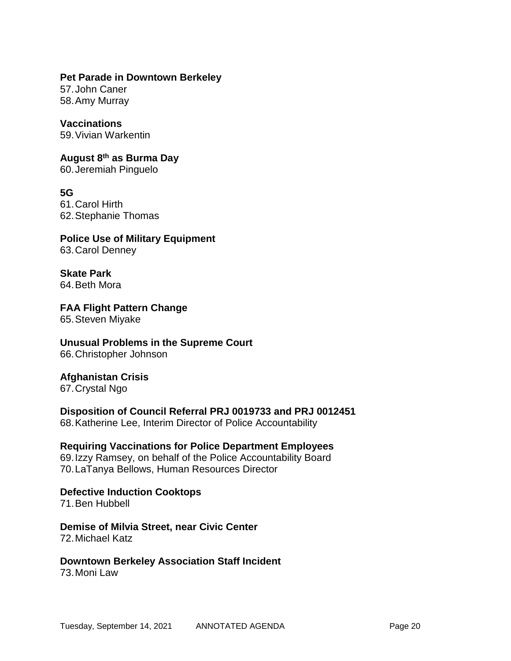#### **Pet Parade in Downtown Berkeley**

57.John Caner 58.Amy Murray

## **Vaccinations**

59.Vivian Warkentin

# **August 8th as Burma Day**

60.Jeremiah Pinguelo

# **5G**

61.Carol Hirth 62.Stephanie Thomas

#### **Police Use of Military Equipment** 63.Carol Denney

**Skate Park** 64.Beth Mora

#### **FAA Flight Pattern Change** 65.Steven Miyake

# **Unusual Problems in the Supreme Court**

66.Christopher Johnson

# **Afghanistan Crisis**

67.Crystal Ngo

# **Disposition of Council Referral PRJ 0019733 and PRJ 0012451**

68.Katherine Lee, Interim Director of Police Accountability

## **Requiring Vaccinations for Police Department Employees**

69.Izzy Ramsey, on behalf of the Police Accountability Board 70.LaTanya Bellows, Human Resources Director

# **Defective Induction Cooktops**

71.Ben Hubbell

#### **Demise of Milvia Street, near Civic Center** 72.Michael Katz

# **Downtown Berkeley Association Staff Incident**

73.Moni Law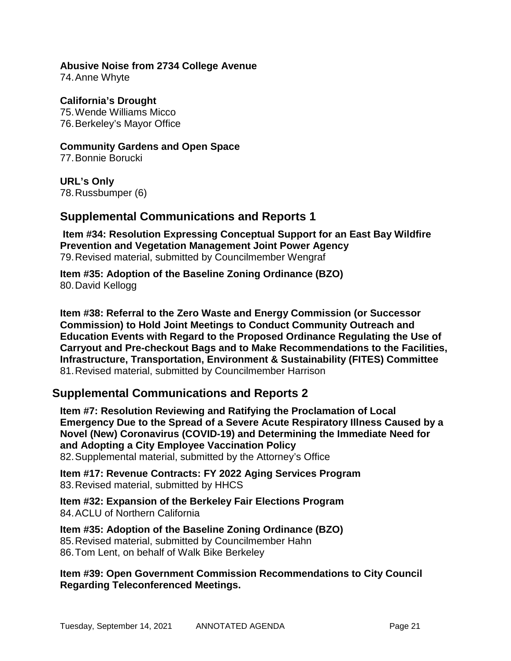#### **Abusive Noise from 2734 College Avenue** 74.Anne Whyte

**California's Drought** 75.Wende Williams Micco 76.Berkeley's Mayor Office

**Community Gardens and Open Space** 77.Bonnie Borucki

**URL's Only** 78.Russbumper (6)

# **Supplemental Communications and Reports 1**

**Item #34: Resolution Expressing Conceptual Support for an East Bay Wildfire Prevention and Vegetation Management Joint Power Agency** 79.Revised material, submitted by Councilmember Wengraf

**Item #35: Adoption of the Baseline Zoning Ordinance (BZO)** 80.David Kellogg

**Item #38: Referral to the Zero Waste and Energy Commission (or Successor Commission) to Hold Joint Meetings to Conduct Community Outreach and Education Events with Regard to the Proposed Ordinance Regulating the Use of Carryout and Pre-checkout Bags and to Make Recommendations to the Facilities, Infrastructure, Transportation, Environment & Sustainability (FITES) Committee** 81.Revised material, submitted by Councilmember Harrison

# **Supplemental Communications and Reports 2**

**Item #7: Resolution Reviewing and Ratifying the Proclamation of Local Emergency Due to the Spread of a Severe Acute Respiratory Illness Caused by a Novel (New) Coronavirus (COVID-19) and Determining the Immediate Need for and Adopting a City Employee Vaccination Policy** 82.Supplemental material, submitted by the Attorney's Office

**Item #17: Revenue Contracts: FY 2022 Aging Services Program** 83.Revised material, submitted by HHCS

**Item #32: Expansion of the Berkeley Fair Elections Program** 84.ACLU of Northern California

**Item #35: Adoption of the Baseline Zoning Ordinance (BZO)** 85.Revised material, submitted by Councilmember Hahn 86.Tom Lent, on behalf of Walk Bike Berkeley

## **Item #39: Open Government Commission Recommendations to City Council Regarding Teleconferenced Meetings.**